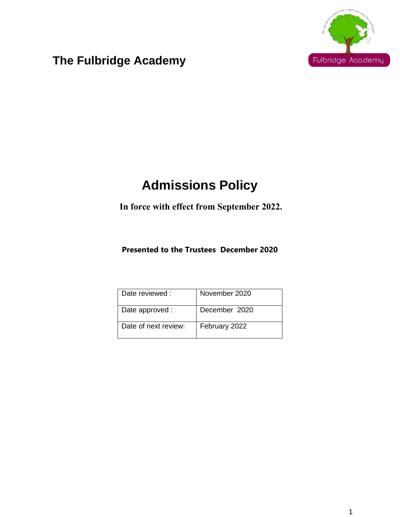

## **The Fulbridge Academy**

# **Admissions Policy**

## **In force with effect from September 2022.**

### **Presented to the Trustees December 2020**

| Date reviewed:       | November 2020 |
|----------------------|---------------|
| Date approved :      | December 2020 |
| Date of next review: | February 2022 |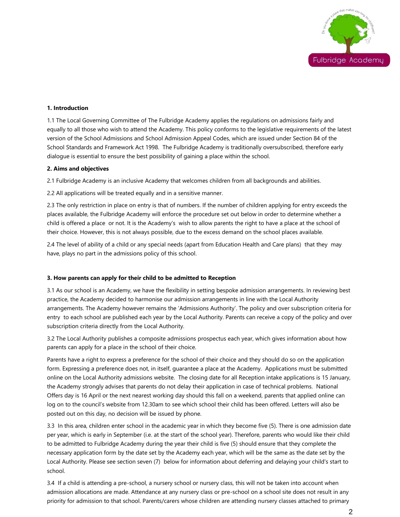

#### **1. Introduction**

1.1 The Local Governing Committee of The Fulbridge Academy applies the regulations on admissions fairly and equally to all those who wish to attend the Academy. This policy conforms to the legislative requirements of the latest version of the School Admissions and School Admission Appeal Codes, which are issued under Section 84 of the School Standards and Framework Act 1998. The Fulbridge Academy is traditionally oversubscribed, therefore early dialogue is essential to ensure the best possibility of gaining a place within the school.

#### **2. Aims and objectives**

2.1 Fulbridge Academy is an inclusive Academy that welcomes children from all backgrounds and abilities.

2.2 All applications will be treated equally and in a sensitive manner.

2.3 The only restriction in place on entry is that of numbers. If the number of children applying for entry exceeds the places available, the Fulbridge Academy will enforce the procedure set out below in order to determine whether a child is offered a place or not. It is the Academy's wish to allow parents the right to have a place at the school of their choice. However, this is not always possible, due to the excess demand on the school places available.

2.4 The level of ability of a child or any special needs (apart from Education Health and Care plans) that they may have, plays no part in the admissions policy of this school.

#### **3. How parents can apply for their child to be admitted to Reception**

3.1 As our school is an Academy, we have the flexibility in setting bespoke admission arrangements. In reviewing best practice, the Academy decided to harmonise our admission arrangements in line with the Local Authority arrangements. The Academy however remains the 'Admissions Authority'. The policy and over subscription criteria for entry to each school are published each year by the Local Authority. Parents can receive a copy of the policy and over subscription criteria directly from the Local Authority.

3.2 The Local Authority publishes a composite admissions prospectus each year, which gives information about how parents can apply for a place in the school of their choice.

Parents have a right to express a preference for the school of their choice and they should do so on the application form. Expressing a preference does not, in itself, guarantee a place at the Academy. Applications must be submitted online on the Local Authority admissions website. The closing date for all Reception intake applications is 15 January, the Academy strongly advises that parents do not delay their application in case of technical problems. National Offers day is 16 April or the next nearest working day should this fall on a weekend, parents that applied online can log on to the council's website from 12.30am to see which school their child has been offered. Letters will also be posted out on this day, no decision will be issued by phone.

3.3 In this area, children enter school in the academic year in which they become five (5). There is one admission date per year, which is early in September (i.e. at the start of the school year). Therefore, parents who would like their child to be admitted to Fulbridge Academy during the year their child is five (5) should ensure that they complete the necessary application form by the date set by the Academy each year, which will be the same as the date set by the Local Authority. Please see section seven (7) below for information about deferring and delaying your child's start to school.

3.4 If a child is attending a pre-school, a nursery school or nursery class, this will not be taken into account when admission allocations are made. Attendance at any nursery class or pre-school on a school site does not result in any priority for admission to that school. Parents/carers whose children are attending nursery classes attached to primary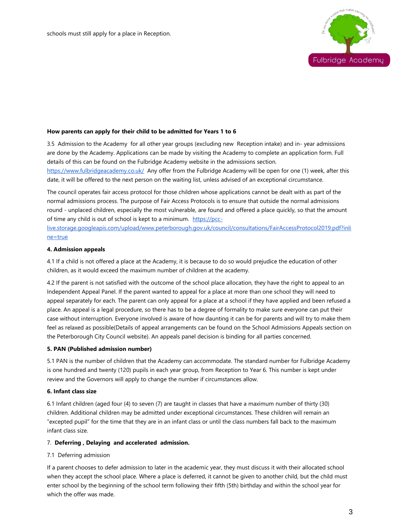

#### **How parents can apply for their child to be admitted for Years 1 to 6**

3.5 Admission to the Academy for all other year groups (excluding new Reception intake) and in- year admissions are done by the Academy. Applications can be made by visiting the Academy to complete an application form. Full details of this can be found on the Fulbridge Academy website in the admissions section.

<https://www.fulbridgeacademy.co.uk/>Any offer from the Fulbridge Academy will be open for one (1) week, after this date, it will be offered to the next person on the waiting list, unless advised of an exceptional circumstance.

The council operates fair access protocol for those children whose applications cannot be dealt with as part of the normal admissions process. The purpose of Fair Access Protocols is to ensure that outside the normal admissions round - unplaced children, especially the most vulnerable, are found and offered a place quickly, so that the amount of time any child is out of school is kept to a minimum. [https://pcc-](https://pcc-live.storage.googleapis.com/upload/www.peterborough.gov.uk/council/consultations/FairAccessProtocol2019.pdf?inline=true)

[live.storage.googleapis.com/upload/www.peterborough.gov.uk/council/consultations/FairAccessProtocol2019.pdf?inli](https://pcc-live.storage.googleapis.com/upload/www.peterborough.gov.uk/council/consultations/FairAccessProtocol2019.pdf?inline=true) [ne=true](https://pcc-live.storage.googleapis.com/upload/www.peterborough.gov.uk/council/consultations/FairAccessProtocol2019.pdf?inline=true)

#### **4. Admission appeals**

4.1 If a child is not offered a place at the Academy, it is because to do so would prejudice the education of other children, as it would exceed the maximum number of children at the academy.

4.2 If the parent is not satisfied with the outcome of the school place allocation, they have the right to appeal to an Independent Appeal Panel. If the parent wanted to appeal for a place at more than one school they will need to appeal separately for each. The parent can only appeal for a place at a school if they have applied and been refused a place. An appeal is a legal procedure, so there has to be a degree of formality to make sure everyone can put their case without interruption. Everyone involved is aware of how daunting it can be for parents and will try to make them feel as relaxed as possible(Details of appeal arrangements can be found on the School Admissions Appeals section on the Peterborough City Council website). An appeals panel decision is binding for all parties concerned.

#### **5. PAN (Published admission number)**

5.1 PAN is the number of children that the Academy can accommodate. The standard number for Fulbridge Academy is one hundred and twenty (120) pupils in each year group, from Reception to Year 6. This number is kept under review and the Governors will apply to change the number if circumstances allow.

#### **6. Infant class size**

6.1 Infant children (aged four (4) to seven (7) are taught in classes that have a maximum number of thirty (30) children. Additional children may be admitted under exceptional circumstances. These children will remain an "excepted pupil" for the time that they are in an infant class or until the class numbers fall back to the maximum infant class size.

#### 7. **Deferring , Delaying and accelerated admission.**

#### 7.1 Deferring admission

If a parent chooses to defer admission to later in the academic year, they must discuss it with their allocated school when they accept the school place. Where a place is deferred, it cannot be given to another child, but the child must enter school by the beginning of the school term following their fifth (5th) birthday and within the school year for which the offer was made.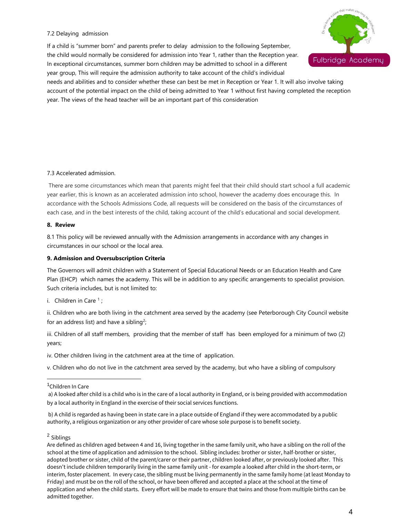#### 7.2 Delaying admission

If a child is "summer born" and parents prefer to delay admission to the following September, the child would normally be considered for admission into Year 1, rather than the Reception year. In exceptional circumstances, summer born children may be admitted to school in a different year group, This will require the admission authority to take account of the child's individual



needs and abilities and to consider whether these can best be met in Reception or Year 1. It will also involve taking account of the potential impact on the child of being admitted to Year 1 without first having completed the reception year. The views of the head teacher will be an important part of this consideration

#### 7.3 Accelerated admission.

There are some circumstances which mean that parents might feel that their child should start school a full academic year earlier, this is known as an accelerated admission into school, however the academy does encourage this. In accordance with the Schools Admissions Code, all requests will be considered on the basis of the circumstances of each case, and in the best interests of the child, taking account of the child's educational and social development.

#### **8. Review**

8.1 This policy will be reviewed annually with the Admission arrangements in accordance with any changes in circumstances in our school or the local area.

#### **9. Admission and Oversubscription Criteria**

The Governors will admit children with a Statement of Special Educational Needs or an Education Health and Care Plan (EHCP) which names the academy. This will be in addition to any specific arrangements to specialist provision. Such criteria includes, but is not limited to:

i. Children in Care  $\frac{1}{i}$ ;

ii. Children who are both living in the catchment area served by the academy (see Peterborough City Council website for an address list) and have a sibling<sup>2</sup>;

iii. Children of all staff members, providing that the member of staff has been employed for a minimum of two (2) years;

iv. Other children living in the catchment area at the time of application.

v. Children who do not live in the catchment area served by the academy, but who have a sibling of compulsory

b) A child is regarded as having been in state care in a place outside of England if they were accommodated by a public authority, a religious organization or any other provider of care whose sole purpose is to benefit society.

#### 2 Siblings

Are defined as children aged between 4 and 16, living together in the same family unit, who have a sibling on the roll of the school at the time of application and admission to the school. Sibling includes: brother or sister, half-brother or sister, adopted brother or sister, child of the parent/carer or their partner, children looked after, or previously looked after. This doesn't include children temporarily living in the same family unit - for example a looked after child in the short-term, or interim, foster placement. In every case, the sibling must be living permanently in the same family home (at least Monday to Friday) and must be on the roll of the school, or have been offered and accepted a place at the school at the time of application and when the child starts. Every effort will be made to ensure that twins and those from multiple births can be admitted together.

<sup>&</sup>lt;sup>1</sup>Children In Care

a) A looked after child is a child who is in the care of a local authority in England, or is being provided with accommodation by a local authority in England in the exercise of their social services functions.